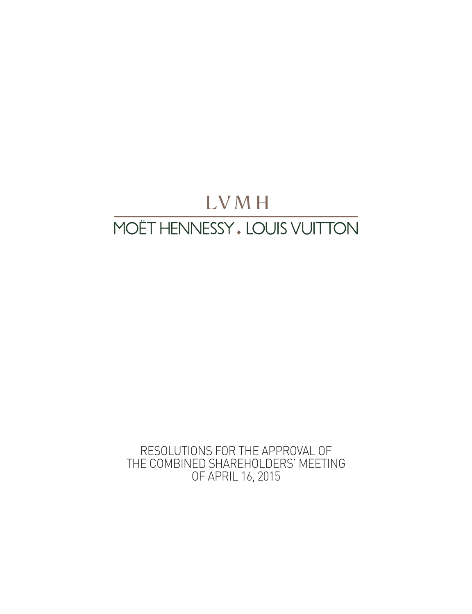# LVMH MOËT HENNESSY, LOUIS VUITTON

RESOLUTIONS FOR THE APPROVAL OF THE COMBINED SHAREHOLDERS' MEETING OF APRIL 16, 2015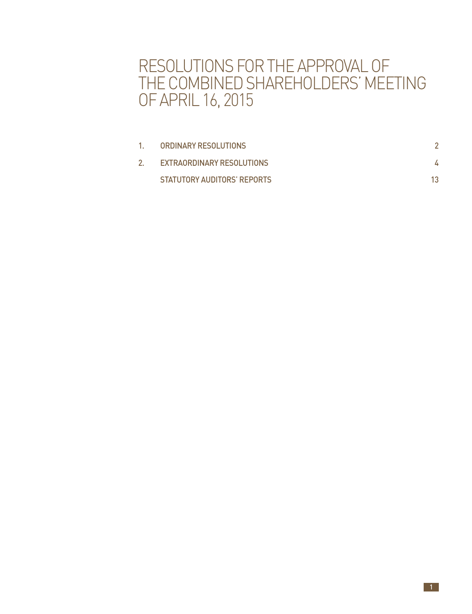## RESOLUTIONS FOR THE APPROVAL OF THE COMBINED SHAREHOLDERS' MEETING OF APRIL 16, 2015

| ORDINARY RESOLUTIONS        |    |
|-----------------------------|----|
| EXTRAORDINARY RESOLUTIONS   |    |
| STATUTORY AUDITORS' REPORTS | 13 |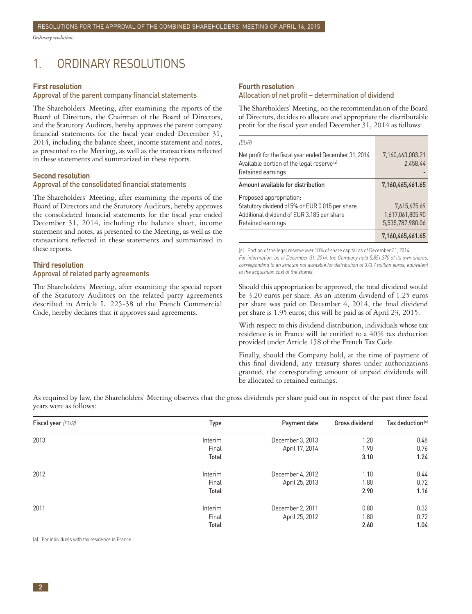<span id="page-3-0"></span>*Ordinary resolutions*

### 1. ORDINARY RESOLUTIONS

#### **First resolution**

#### Approval of the parent company financial statements

The Shareholders' Meeting, after examining the reports of the Board of Directors, the Chairman of the Board of Directors, and the Statutory Auditors, hereby approves the parent company financial statements for the fiscal year ended December 31, 2014, including the balance sheet, income statement and notes, as presented to the Meeting, as well as the transactions reflected in these statements and summarized in these reports.

#### **Second resolution**

#### Approval of the consolidated financial statements

The Shareholders' Meeting, after examining the reports of the Board of Directors and the Statutory Auditors, hereby approves the consolidated financial statements for the fiscal year ended December 31, 2014, including the balance sheet, income statement and notes, as presented to the Meeting, as well as the transactions reflected in these statements and summarized in these reports.

#### **Third resolution**

#### Approval of related party agreements

The Shareholders' Meeting, after examining the special report of the Statutory Auditors on the related party agreements described in Article L. 225-38 of the French Commercial Code, hereby declares that it approves said agreements.

#### **Fourth resolution**

#### Allocation of net profit – determination of dividend

The Shareholders' Meeting, on the recommendation of the Board of Directors, decides to allocate and appropriate the distributable profit for the fiscal year ended December 31, 2014 as follows:

| (EUR)                                                                                                                                |                              |  |
|--------------------------------------------------------------------------------------------------------------------------------------|------------------------------|--|
| Net profit for the fiscal year ended December 31, 2014<br>Available portion of the legal reserve <sup>[a]</sup><br>Retained earnings | 7,160,463,003.21<br>2.458.44 |  |
| Amount available for distribution                                                                                                    | 7,160,465,461.65             |  |
| Proposed appropriation:                                                                                                              |                              |  |
| Statutory dividend of 5% or EUR 0.015 per share                                                                                      | 7.615.675.69                 |  |
| Additional dividend of EUR 3.185 per share                                                                                           | 1,617,061,805.90             |  |
| Retained earnings                                                                                                                    | 5,535,787,980.06             |  |
|                                                                                                                                      | 7,160,465,461.65             |  |

(a) Portion of the legal reserve over 10% of share capital as of December 31, 2014. For information, as of December 31, 2014, the Company held 5,851,370 of its own shares, corresponding to an amount not available for distribution of 373.7 million euros, equivalent to the acquisition cost of the shares.

Should this appropriation be approved, the total dividend would be 3.20 euros per share. As an interim dividend of 1.25 euros per share was paid on December 4, 2014, the final dividend per share is 1.95 euros; this will be paid as of April 23, 2015.

With respect to this dividend distribution, individuals whose tax residence is in France will be entitled to a 40% tax deduction provided under Article 158 of the French Tax Code.

Finally, should the Company hold, at the time of payment of this final dividend, any treasury shares under authorizations granted, the corresponding amount of unpaid dividends will be allocated to retained earnings.

As required by law, the Shareholders' Meeting observes that the gross dividends per share paid out in respect of the past three fiscal years were as follows:

| Fiscal year (EUR) | Type    | Payment date     | Gross dividend | Tax deduction <sup>[a]</sup> |
|-------------------|---------|------------------|----------------|------------------------------|
| 2013              | Interim | December 3, 2013 | 1.20           | 0.48                         |
|                   | Final   | April 17, 2014   | 1.90           | 0.76                         |
|                   | Total   |                  | 3.10           | 1.24                         |
| 2012              | Interim | December 4, 2012 | 1.10           | 0.44                         |
|                   | Final   | April 25, 2013   | 1.80           | 0.72                         |
|                   | Total   |                  | 2.90           | 1.16                         |
| 2011              | Interim | December 2, 2011 | 0.80           | 0.32                         |
|                   | Final   | April 25, 2012   | 1.80           | 0.72                         |
|                   | Total   |                  | 2.60           | 1.04                         |

(a) For individuals with tax residence in France.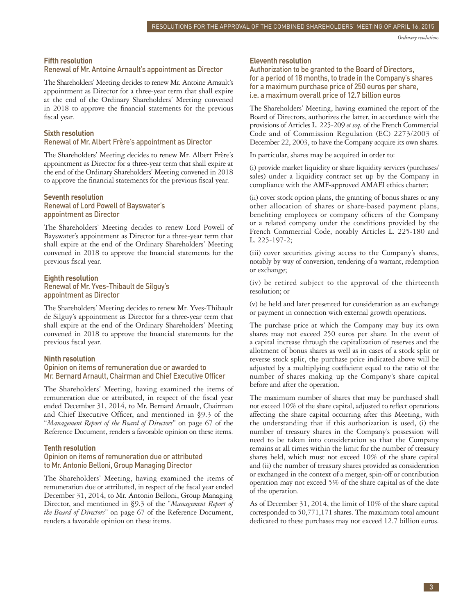*Ordinary resolutions*

#### **Fifth resolution**

#### Renewal of Mr. Antoine Arnault's appointment as Director

The Shareholders' Meeting decides to renew Mr. Antoine Arnault's appointment as Director for a three-year term that shall expire at the end of the Ordinary Shareholders' Meeting convened in 2018 to approve the financial statements for the previous fiscal year.

#### **Sixth resolution**

#### Renewal of Mr. Albert Frère's appointment as Director

The Shareholders' Meeting decides to renew Mr. Albert Frère's appointment as Director for a three-year term that shall expire at the end of the Ordinary Shareholders' Meeting convened in 2018 to approve the financial statements for the previous fiscal year.

#### **Seventh resolution**

#### Renewal of Lord Powell of Bayswater's appointment as Director

The Shareholders' Meeting decides to renew Lord Powell of Bayswater's appointment as Director for a three-year term that shall expire at the end of the Ordinary Shareholders' Meeting convened in 2018 to approve the financial statements for the previous fiscal year.

### **Eighth resolution**

#### Renewal of Mr. Yves-Thibault de Silguy's appointment as Director

The Shareholders' Meeting decides to renew Mr. Yves-Thibault de Silguy's appointment as Director for a three-year term that shall expire at the end of the Ordinary Shareholders' Meeting convened in 2018 to approve the financial statements for the previous fiscal year.

#### **Ninth resolution**

#### Opinion on items of remuneration due or awarded to Mr. Bernard Arnault, Chairman and Chief Executive Officer

The Shareholders' Meeting, having examined the items of remuneration due or attributed, in respect of the fiscal year ended December 31, 2014, to Mr. Bernard Arnault, Chairman and Chief Executive Officer, and mentioned in §9.3 of the "*Management Report of the Board of Directors*" on page 67 of the Reference Document, renders a favorable opinion on these items.

#### **Tenth resolution**

#### Opinion on items of remuneration due or attributed to Mr. Antonio Belloni, Group Managing Director

The Shareholders' Meeting, having examined the items of remuneration due or attributed, in respect of the fiscal year ended December 31, 2014, to Mr. Antonio Belloni, Group Managing Director, and mentioned in §9.3 of the "*Management Report of the Board of Directors*" on page 67 of the Reference Document, renders a favorable opinion on these items.

#### **Eleventh resolution**

Authorization to be granted to the Board of Directors, for a period of 18 months, to trade in the Company's shares for a maximum purchase price of 250 euros per share, i.e. a maximum overall price of 12.7 billion euros

The Shareholders' Meeting, having examined the report of the Board of Directors, authorizes the latter, in accordance with the provisions of Articles L. 225-209 *et seq.* of the French Commercial Code and of Commission Regulation (EC) 2273/2003 of December 22, 2003, to have the Company acquire its own shares.

In particular, shares may be acquired in order to:

(i) provide market liquidity or share liquidity services (purchases/ sales) under a liquidity contract set up by the Company in compliance with the AMF-approved AMAFI ethics charter;

(ii) cover stock option plans, the granting of bonus shares or any other allocation of shares or share-based payment plans, benefiting employees or company officers of the Company or a related company under the conditions provided by the French Commercial Code, notably Articles L. 225-180 and L. 225-197-2;

(iii) cover securities giving access to the Company's shares, notably by way of conversion, tendering of a warrant, redemption or exchange;

(iv) be retired subject to the approval of the thirteenth resolution; or

(v) be held and later presented for consideration as an exchange or payment in connection with external growth operations.

The purchase price at which the Company may buy its own shares may not exceed 250 euros per share. In the event of a capital increase through the capitalization of reserves and the allotment of bonus shares as well as in cases of a stock split or reverse stock split, the purchase price indicated above will be adjusted by a multiplying coefficient equal to the ratio of the number of shares making up the Company's share capital before and after the operation.

The maximum number of shares that may be purchased shall not exceed 10% of the share capital, adjusted to reflect operations affecting the share capital occurring after this Meeting, with the understanding that if this authorization is used, (i) the number of treasury shares in the Company's possession will need to be taken into consideration so that the Company remains at all times within the limit for the number of treasury shares held, which must not exceed 10% of the share capital and (ii) the number of treasury shares provided as consideration or exchanged in the context of a merger, spin-off or contribution operation may not exceed 5% of the share capital as of the date of the operation.

As of December 31, 2014, the limit of 10% of the share capital corresponded to 50,771,171 shares. The maximum total amount dedicated to these purchases may not exceed 12.7 billion euros.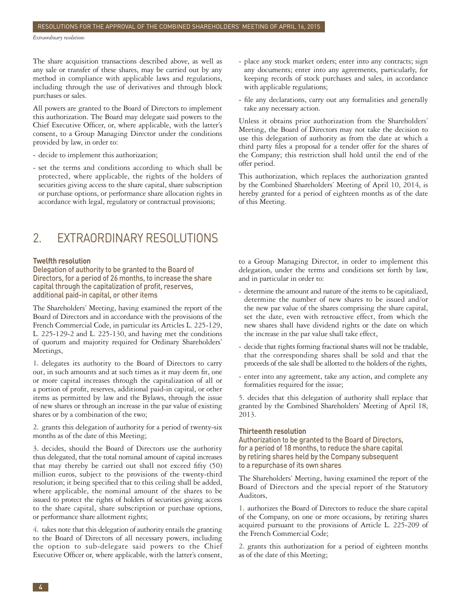<span id="page-5-0"></span>The share acquisition transactions described above, as well as any sale or transfer of these shares, may be carried out by any method in compliance with applicable laws and regulations, including through the use of derivatives and through block purchases or sales.

All powers are granted to the Board of Directors to implement this authorization. The Board may delegate said powers to the Chief Executive Officer, or, where applicable, with the latter's consent, to a Group Managing Director under the conditions provided by law, in order to:

- decide to implement this authorization;
- set the terms and conditions according to which shall be protected, where applicable, the rights of the holders of securities giving access to the share capital, share subscription or purchase options, or performance share allocation rights in accordance with legal, regulatory or contractual provisions;

### 2. EXTRAORDINARY RESOLUTIONS

#### **Twelfth resolution**

Delegation of authority to be granted to the Board of Directors, for a period of 26 months, to increase the share capital through the capitalization of profit, reserves, additional paid-in capital, or other items

The Shareholders' Meeting, having examined the report of the Board of Directors and in accordance with the provisions of the French Commercial Code, in particular its Articles L. 225-129, L. 225-129-2 and L. 225-130, and having met the conditions of quorum and majority required for Ordinary Shareholders' Meetings,

**1.** delegates its authority to the Board of Directors to carry out, in such amounts and at such times as it may deem fit, one or more capital increases through the capitalization of all or a portion of profit, reserves, additional paid-in capital, or other items as permitted by law and the Bylaws, through the issue of new shares or through an increase in the par value of existing shares or by a combination of the two;

**2.** grants this delegation of authority for a period of twenty-six months as of the date of this Meeting;

**3.** decides, should the Board of Directors use the authority thus delegated, that the total nominal amount of capital increases that may thereby be carried out shall not exceed fifty (50) million euros, subject to the provisions of the twenty-third resolution; it being specified that to this ceiling shall be added, where applicable, the nominal amount of the shares to be issued to protect the rights of holders of securities giving access to the share capital, share subscription or purchase options, or performance share allotment rights;

**4.** takes note that this delegation of authority entails the granting to the Board of Directors of all necessary powers, including the option to sub-delegate said powers to the Chief Executive Officer or, where applicable, with the latter's consent,

- place any stock market orders; enter into any contracts; sign any documents; enter into any agreements, particularly, for keeping records of stock purchases and sales, in accordance with applicable regulations;
- file any declarations, carry out any formalities and generally take any necessary action.

Unless it obtains prior authorization from the Shareholders' Meeting, the Board of Directors may not take the decision to use this delegation of authority as from the date at which a third party files a proposal for a tender offer for the shares of the Company; this restriction shall hold until the end of the offer period.

This authorization, which replaces the authorization granted by the Combined Shareholders' Meeting of April 10, 2014, is hereby granted for a period of eighteen months as of the date of this Meeting.

to a Group Managing Director, in order to implement this delegation, under the terms and conditions set forth by law, and in particular in order to:

- determine the amount and nature of the items to be capitalized, determine the number of new shares to be issued and/or the new par value of the shares comprising the share capital, set the date, even with retroactive effect, from which the new shares shall have dividend rights or the date on which the increase in the par value shall take effect,
- decide that rights forming fractional shares will not be tradable, that the corresponding shares shall be sold and that the proceeds of the sale shall be allotted to the holders of the rights,
- enter into any agreement, take any action, and complete any formalities required for the issue;

**5.** decides that this delegation of authority shall replace that granted by the Combined Shareholders' Meeting of April 18, 2013.

#### **Thirteenth resolution**

Authorization to be granted to the Board of Directors, for a period of 18 months, to reduce the share capital by retiring shares held by the Company subsequent to a repurchase of its own shares

The Shareholders' Meeting, having examined the report of the Board of Directors and the special report of the Statutory Auditors,

**1.** authorizes the Board of Directors to reduce the share capital of the Company, on one or more occasions, by retiring shares acquired pursuant to the provisions of Article L. 225-209 of the French Commercial Code;

**2.** grants this authorization for a period of eighteen months as of the date of this Meeting;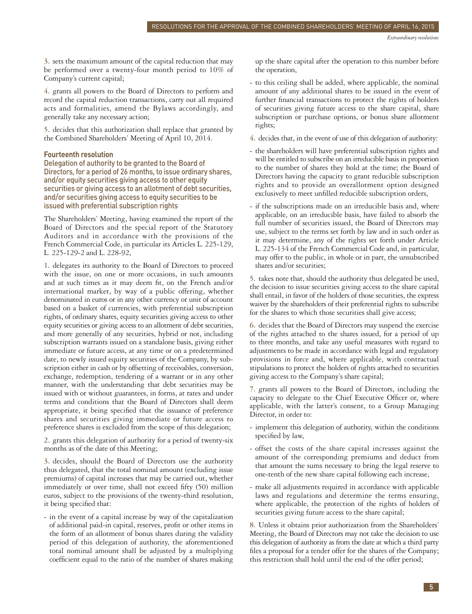**3.** sets the maximum amount of the capital reduction that may be performed over a twenty-four month period to 10% of Company's current capital;

**4.** grants all powers to the Board of Directors to perform and record the capital reduction transactions, carry out all required acts and formalities, amend the Bylaws accordingly, and generally take any necessary action;

**5.** decides that this authorization shall replace that granted by the Combined Shareholders' Meeting of April 10, 2014.

#### **Fourteenth resolution**

Delegation of authority to be granted to the Board of Directors, for a period of 26 months, to issue ordinary shares, and/or equity securities giving access to other equity securities or giving access to an allotment of debt securities, and/or securities giving access to equity securities to be issued with preferential subscription rights

The Shareholders' Meeting, having examined the report of the Board of Directors and the special report of the Statutory Auditors and in accordance with the provisions of the French Commercial Code, in particular its Articles L. 225-129, L. 225-129-2 and L. 228-92,

**1.** delegates its authority to the Board of Directors to proceed with the issue, on one or more occasions, in such amounts and at such times as it may deem fit, on the French and/or international market, by way of a public offering, whether denominated in euros or in any other currency or unit of account based on a basket of currencies, with preferential subscription rights, of ordinary shares, equity securities giving access to other equity securities or giving access to an allotment of debt securities, and more generally of any securities, hybrid or not, including subscription warrants issued on a standalone basis, giving either immediate or future access, at any time or on a predetermined date, to newly issued equity securities of the Company, by sub scription either in cash or by offsetting of receivables, conversion, exchange, redemption, tendering of a warrant or in any other manner, with the understanding that debt securities may be issued with or without guarantees, in forms, at rates and under terms and conditions that the Board of Directors shall deem appropriate, it being specified that the issuance of preference shares and securities giving immediate or future access to preference shares is excluded from the scope of this delegation;

**2.** grants this delegation of authority for a period of twenty-six months as of the date of this Meeting;

**3.** decides, should the Board of Directors use the authority thus delegated, that the total nominal amount (excluding issue premiums) of capital increases that may be carried out, whether immediately or over time, shall not exceed fifty (50) million euros, subject to the provisions of the twenty-third resolution, it being specified that:

- in the event of a capital increase by way of the capitalization of additional paid-in capital, reserves, profit or other items in the form of an allotment of bonus shares during the validity period of this delegation of authority, the aforementioned total nominal amount shall be adjusted by a multiplying coefficient equal to the ratio of the number of shares making

up the share capital after the operation to this number before the operation,

- to this ceiling shall be added, where applicable, the nominal amount of any additional shares to be issued in the event of further financial transactions to protect the rights of holders of securities giving future access to the share capital, share subscription or purchase options, or bonus share allotment rights;
- **4.** decides that, in the event of use of this delegation of authority:
- the shareholders will have preferential subscription rights and will be entitled to subscribe on an irreducible basis in proportion to the number of shares they hold at the time; the Board of Directors having the capacity to grant reducible subscription rights and to provide an overallotment option designed exclusively to meet unfilled reducible subscription orders,
- if the subscriptions made on an irreducible basis and, where applicable, on an irreducible basis, have failed to absorb the full number of securities issued, the Board of Directors may use, subject to the terms set forth by law and in such order as it may determine, any of the rights set forth under Article L. 225-134 of the French Commercial Code and, in particular, may offer to the public, in whole or in part, the unsubscribed shares and/or securities;

**5.** takes note that, should the authority thus delegated be used, the decision to issue securities giving access to the share capital shall entail, in favor of the holders of those securities, the express waiver by the shareholders of their preferential rights to subscribe for the shares to which those securities shall give access;

**6.** decides that the Board of Directors may suspend the exercise of the rights attached to the shares issued, for a period of up to three months, and take any useful measures with regard to adjustments to be made in accordance with legal and regulatory provisions in force and, where applicable, with contractual stipulations to protect the holders of rights attached to securities giving access to the Company's share capital;

**7.** grants all powers to the Board of Directors, including the capacity to delegate to the Chief Executive Officer or, where applicable, with the latter's consent, to a Group Managing Director, in order to:

- implement this delegation of authority, within the conditions specified by law,
- offset the costs of the share capital increases against the amount of the corresponding premiums and deduct from that amount the sums necessary to bring the legal reserve to one-tenth of the new share capital following each increase,
- make all adjustments required in accordance with applicable laws and regulations and determine the terms ensuring, where applicable, the protection of the rights of holders of securities giving future access to the share capital;

**8.** Unless it obtains prior authorization from the Shareholders' Meeting, the Board of Directors may not take the decision to use this delegation of authority as from the date at which a third party files a proposal for a tender offer for the shares of the Company; this restriction shall hold until the end of the offer period;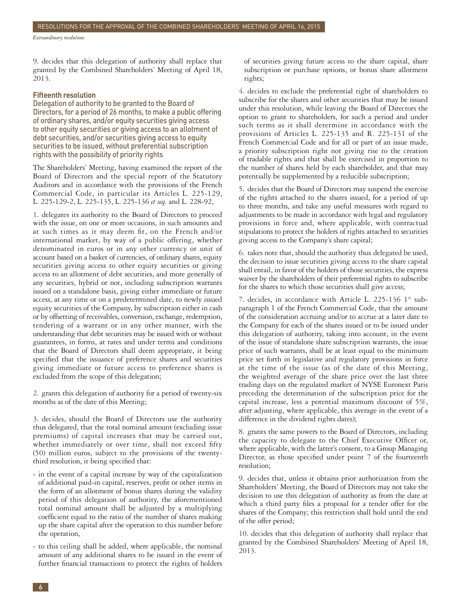*Extraordinary resolutions*

**9.** decides that this delegation of authority shall replace that granted by the Combined Shareholders' Meeting of April 18, 2013.

#### **Fifteenth resolution**

Delegation of authority to be granted to the Board of Directors, for a period of 26 months, to make a public offering of ordinary shares, and/or equity securities giving access to other equity securities or giving access to an allotment of debt securities, and/or securities giving access to equity securities to be issued, without preferential subscription rights with the possibility of priority rights

The Shareholders' Meeting, having examined the report of the Board of Directors and the special report of the Statutory Auditors and in accordance with the provisions of the French Commercial Code, in particular its Articles L. 225-129, L. 225-129-2, L. 225-135, L. 225-136 *et seq.* and L. 228-92,

**1.** delegates its authority to the Board of Directors to proceed with the issue, on one or more occasions, in such amounts and at such times as it may deem fit, on the French and/or international market, by way of a public offering, whether denominated in euros or in any other currency or unit of account based on a basket of currencies, of ordinary shares, equity securities giving access to other equity securities or giving access to an allotment of debt securities, and more generally of any securities, hybrid or not, including subscription warrants issued on a standalone basis, giving either immediate or future access, at any time or on a predetermined date, to newly issued equity securities of the Company, by subscription either in cash or by offsetting of receivables, conversion, exchange, redemption, tendering of a warrant or in any other manner, with the understanding that debt securities may be issued with or without guarantees, in forms, at rates and under terms and conditions that the Board of Directors shall deem appropriate, it being specified that the issuance of preference shares and securities giving immediate or future access to preference shares is excluded from the scope of this delegation;

**2.** grants this delegation of authority for a period of twenty-six months as of the date of this Meeting;

**3.** decides, should the Board of Directors use the authority thus delegated, that the total nominal amount (excluding issue premiums) of capital increases that may be carried out, whether immediately or over time, shall not exceed fifty (50) million euros, subject to the provisions of the twentythird resolution, it being specified that:

- in the event of a capital increase by way of the capitalization of additional paid-in capital, reserves, profit or other items in the form of an allotment of bonus shares during the validity period of this delegation of authority, the aforementioned total nominal amount shall be adjusted by a multiplying coefficient equal to the ratio of the number of shares making up the share capital after the operation to this number before the operation,
- to this ceiling shall be added, where applicable, the nominal amount of any additional shares to be issued in the event of further financial transactions to protect the rights of holders

of securities giving future access to the share capital, share subscription or purchase options, or bonus share allotment rights;

**4.** decides to exclude the preferential right of shareholders to subscribe for the shares and other securities that may be issued under this resolution, while leaving the Board of Directors the option to grant to shareholders, for such a period and under such terms as it shall determine in accordance with the provisions of Articles L. 225-135 and R. 225-131 of the French Commercial Code and for all or part of an issue made, a priority subscription right not giving rise to the creation of tradable rights and that shall be exercised in proportion to the number of shares held by each shareholder, and that may potentially be supplemented by a reducible subscription;

**5.** decides that the Board of Directors may suspend the exercise of the rights attached to the shares issued, for a period of up to three months, and take any useful measures with regard to adjustments to be made in accordance with legal and regulatory provisions in force and, where applicable, with contractual stipulations to protect the holders of rights attached to securities giving access to the Company's share capital;

**6.** takes note that, should the authority thus delegated be used, the decision to issue securities giving access to the share capital shall entail, in favor of the holders of those securities, the express waiver by the shareholders of their preferential rights to subscribe for the shares to which those securities shall give access;

**7.** decides, in accordance with Article L. 225-136 1° sub paragraph 1 of the French Commercial Code, that the amount of the consideration accruing and/or to accrue at a later date to the Company for each of the shares issued or to be issued under this delegation of authority, taking into account, in the event of the issue of standalone share subscription warrants, the issue price of such warrants, shall be at least equal to the minimum price set forth in legislative and regulatory provisions in force at the time of the issue (as of the date of this Meeting, the weighted average of the share price over the last three trading days on the regulated market of NYSE Euronext Paris preceding the determination of the subscription price for the capital increase, less a potential maximum discount of 5%, after adjusting, where applicable, this average in the event of a difference in the dividend rights dates);

**8.** grants the same powers to the Board of Directors, including the capacity to delegate to the Chief Executive Officer or, where applicable, with the latter's consent, to a Group Managing Director, as those specified under point 7 of the fourteenth resolution;

**9.** decides that, unless it obtains prior authorization from the Shareholders' Meeting, the Board of Directors may not take the decision to use this delegation of authority as from the date at which a third party files a proposal for a tender offer for the shares of the Company; this restriction shall hold until the end of the offer period;

**10.** decides that this delegation of authority shall replace that granted by the Combined Shareholders' Meeting of April 18, 2013.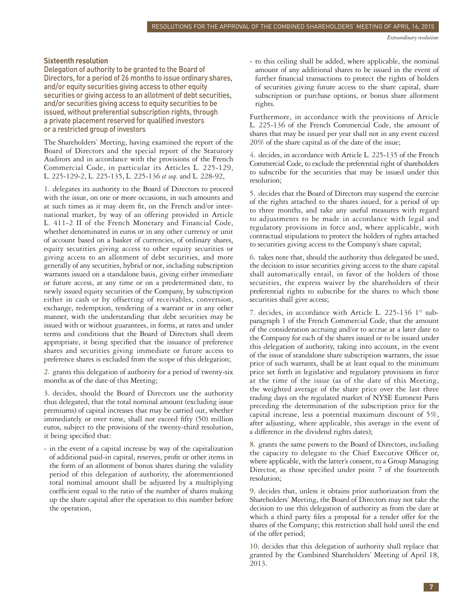#### **Sixteenth resolution**

Delegation of authority to be granted to the Board of Directors, for a period of 26 months to issue ordinary shares, and/or equity securities giving access to other equity securities or giving access to an allotment of debt securities, and/or securities giving access to equity securities to be issued, without preferential subscription rights, through a private placement reserved for qualified investors or a restricted group of investors

The Shareholders' Meeting, having examined the report of the Board of Directors and the special report of the Statutory Auditors and in accordance with the provisions of the French Commercial Code, in particular its Articles L. 225-129, L. 225-129-2, L. 225-135, L. 225-136 *et seq.* and L. 228-92,

**1.** delegates its authority to the Board of Directors to proceed with the issue, on one or more occasions, in such amounts and at such times as it may deem fit, on the French and/or international market, by way of an offering provided in Article L. 411-2 II of the French Monetary and Financial Code, whether denominated in euros or in any other currency or unit of account based on a basket of currencies, of ordinary shares, equity securities giving access to other equity securities or giving access to an allotment of debt securities, and more generally of any securities, hybrid or not, including subscription warrants issued on a standalone basis, giving either immediate or future access, at any time or on a predetermined date, to newly issued equity securities of the Company, by subscription either in cash or by offsetting of receivables, conversion, exchange, redemption, tendering of a warrant or in any other manner, with the understanding that debt securities may be issued with or without guarantees, in forms, at rates and under terms and conditions that the Board of Directors shall deem appropriate, it being specified that the issuance of preference shares and securities giving immediate or future access to preference shares is excluded from the scope of this delegation;

**2.** grants this delegation of authority for a period of twenty-six months as of the date of this Meeting;

**3.** decides, should the Board of Directors use the authority thus delegated, that the total nominal amount (excluding issue premiums) of capital increases that may be carried out, whether immediately or over time, shall not exceed fifty (50) million euros, subject to the provisions of the twenty-third resolution, it being specified that:

- in the event of a capital increase by way of the capitalization of additional paid-in capital, reserves, profit or other items in the form of an allotment of bonus shares during the validity period of this delegation of authority, the aforementioned total nominal amount shall be adjusted by a multiplying coefficient equal to the ratio of the number of shares making up the share capital after the operation to this number before the operation,

- to this ceiling shall be added, where applicable, the nominal amount of any additional shares to be issued in the event of further financial transactions to protect the rights of holders of securities giving future access to the share capital, share subscription or purchase options, or bonus share allotment rights.

Furthermore, in accordance with the provisions of Article L. 225-136 of the French Commercial Code, the amount of shares that may be issued per year shall not in any event exceed 20% of the share capital as of the date of the issue;

**4.** decides, in accordance with Article L. 225-135 of the French Commercial Code, to exclude the preferential right of shareholders to subscribe for the securities that may be issued under this resolution;

**5.** decides that the Board of Directors may suspend the exercise of the rights attached to the shares issued, for a period of up to three months, and take any useful measures with regard to adjustments to be made in accordance with legal and regulatory provisions in force and, where applicable, with contractual stipulations to protect the holders of rights attached to securities giving access to the Company's share capital;

**6.** takes note that, should the authority thus delegated be used, the decision to issue securities giving access to the share capital shall automatically entail, in favor of the holders of those securities, the express waiver by the shareholders of their preferential rights to subscribe for the shares to which those securities shall give access;

**7.** decides, in accordance with Article L. 225-136 1° sub paragraph 1 of the French Commercial Code, that the amount of the consideration accruing and/or to accrue at a later date to the Company for each of the shares issued or to be issued under this delegation of authority, taking into account, in the event of the issue of standalone share subscription warrants, the issue price of such warrants, shall be at least equal to the minimum price set forth in legislative and regulatory provisions in force at the time of the issue (as of the date of this Meeting, the weighted average of the share price over the last three trading days on the regulated market of NYSE Euronext Paris preceding the determination of the subscription price for the capital increase, less a potential maximum discount of 5%, after adjusting, where applicable, this average in the event of a difference in the dividend rights dates);

**8.** grants the same powers to the Board of Directors, including the capacity to delegate to the Chief Executive Officer or, where applicable, with the latter's consent, to a Group Managing Director, as those specified under point 7 of the fourteenth resolution;

**9.** decides that, unless it obtains prior authorization from the Shareholders' Meeting, the Board of Directors may not take the decision to use this delegation of authority as from the date at which a third party files a proposal for a tender offer for the shares of the Company; this restriction shall hold until the end of the offer period;

**10.** decides that this delegation of authority shall replace that granted by the Combined Shareholders' Meeting of April 18, 2013.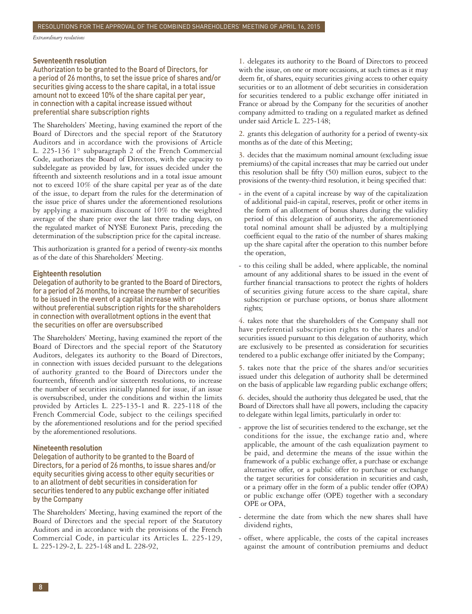*Extraordinary resolutions*

#### **Seventeenth resolution**

Authorization to be granted to the Board of Directors, for a period of 26 months, to set the issue price of shares and/or securities giving access to the share capital, in a total issue amount not to exceed 10% of the share capital per year, in connection with a capital increase issued without preferential share subscription rights

The Shareholders' Meeting, having examined the report of the Board of Directors and the special report of the Statutory Auditors and in accordance with the provisions of Article L. 225-136 1° subparagraph 2 of the French Commercial Code, authorizes the Board of Directors, with the capacity to subdelegate as provided by law, for issues decided under the fifteenth and sixteenth resolutions and in a total issue amount not to exceed 10% of the share capital per year as of the date of the issue, to depart from the rules for the determination of the issue price of shares under the aforementioned resolutions by applying a maximum discount of 10% to the weighted average of the share price over the last three trading days, on the regulated market of NYSE Euronext Paris, preceding the determination of the subscription price for the capital increase.

This authorization is granted for a period of twenty-six months as of the date of this Shareholders' Meeting.

#### **Eighteenth resolution**

Delegation of authority to be granted to the Board of Directors, for a period of 26 months, to increase the number of securities to be issued in the event of a capital increase with or without preferential subscription rights for the shareholders in connection with overallotment options in the event that the securities on offer are oversubscribed

The Shareholders' Meeting, having examined the report of the Board of Directors and the special report of the Statutory Auditors, delegates its authority to the Board of Directors, in connection with issues decided pursuant to the delegations of authority granted to the Board of Directors under the fourteenth, fifteenth and/or sixteenth resolutions, to increase the number of securities initially planned for issue, if an issue is oversubscribed, under the conditions and within the limits provided by Articles L. 225-135-1 and R. 225-118 of the French Commercial Code, subject to the ceilings specified by the aforementioned resolutions and for the period specified by the aforementioned resolutions.

#### **Nineteenth resolution**

Delegation of authority to be granted to the Board of Directors, for a period of 26 months, to issue shares and/or equity securities giving access to other equity securities or to an allotment of debt securities in consideration for securities tendered to any public exchange offer initiated by the Company

The Shareholders' Meeting, having examined the report of the Board of Directors and the special report of the Statutory Auditors and in accordance with the provisions of the French Commercial Code, in particular its Articles L. 225-129, L. 225-129-2, L. 225-148 and L. 228-92,

**1.** delegates its authority to the Board of Directors to proceed with the issue, on one or more occasions, at such times as it may deem fit, of shares, equity securities giving access to other equity securities or to an allotment of debt securities in consideration for securities tendered to a public exchange offer initiated in France or abroad by the Company for the securities of another company admitted to trading on a regulated market as defined under said Article L. 225-148;

**2.** grants this delegation of authority for a period of twenty-six months as of the date of this Meeting;

**3.** decides that the maximum nominal amount (excluding issue premiums) of the capital increases that may be carried out under this resolution shall be fifty (50) million euros, subject to the provisions of the twenty-third resolution, it being specified that:

- in the event of a capital increase by way of the capitalization of additional paid-in capital, reserves, profit or other items in the form of an allotment of bonus shares during the validity period of this delegation of authority, the aforementioned total nominal amount shall be adjusted by a multiplying coefficient equal to the ratio of the number of shares making up the share capital after the operation to this number before the operation,
- to this ceiling shall be added, where applicable, the nominal amount of any additional shares to be issued in the event of further financial transactions to protect the rights of holders of securities giving future access to the share capital, share subscription or purchase options, or bonus share allotment rights;

**4.** takes note that the shareholders of the Company shall not have preferential subscription rights to the shares and/or securities issued pursuant to this delegation of authority, which are exclusively to be presented as consideration for securities tendered to a public exchange offer initiated by the Company;

5. takes note that the price of the shares and/or securities issued under this delegation of authority shall be determined on the basis of applicable law regarding public exchange offers;

**6.** decides, should the authority thus delegated be used, that the Board of Directors shall have all powers, including the capacity to delegate within legal limits, particularly in order to:

- approve the list of securities tendered to the exchange, set the conditions for the issue, the exchange ratio and, where applicable, the amount of the cash equalization payment to be paid, and determine the means of the issue within the framework of a public exchange offer, a purchase or exchange alternative offer, or a public offer to purchase or exchange the target securities for consideration in securities and cash, or a primary offer in the form of a public tender offer (OPA) or public exchange offer (OPE) together with a secondary OPE or OPA,
- determine the date from which the new shares shall have dividend rights,
- offset, where applicable, the costs of the capital increases against the amount of contribution premiums and deduct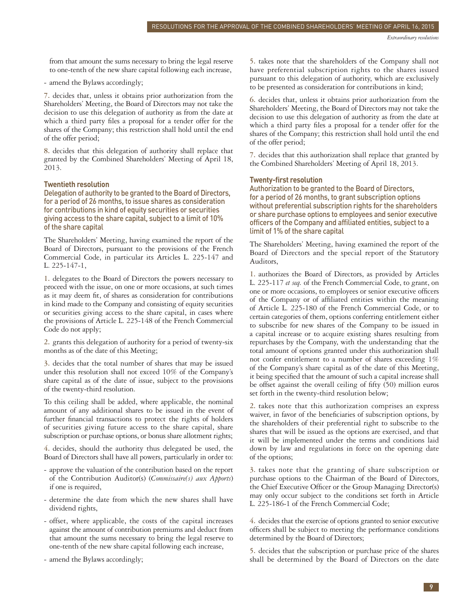from that amount the sums necessary to bring the legal reserve to one-tenth of the new share capital following each increase,

- amend the Bylaws accordingly;

**7.** decides that, unless it obtains prior authorization from the Shareholders' Meeting, the Board of Directors may not take the decision to use this delegation of authority as from the date at which a third party files a proposal for a tender offer for the shares of the Company; this restriction shall hold until the end of the offer period;

**8.** decides that this delegation of authority shall replace that granted by the Combined Shareholders' Meeting of April 18, 2013.

#### **Twentieth resolution**

Delegation of authority to be granted to the Board of Directors, for a period of 26 months, to issue shares as consideration for contributions in kind of equity securities or securities giving access to the share capital, subject to a limit of 10% of the share capital

The Shareholders' Meeting, having examined the report of the Board of Directors, pursuant to the provisions of the French Commercial Code, in particular its Articles L. 225-147 and L. 225-147-1,

**1.** delegates to the Board of Directors the powers necessary to proceed with the issue, on one or more occasions, at such times as it may deem fit, of shares as consideration for contributions in kind made to the Company and consisting of equity securities or securities giving access to the share capital, in cases where the provisions of Article L. 225-148 of the French Commercial Code do not apply;

**2.** grants this delegation of authority for a period of twenty-six months as of the date of this Meeting;

**3.** decides that the total number of shares that may be issued under this resolution shall not exceed 10% of the Company's share capital as of the date of issue, subject to the provisions of the twenty-third resolution.

To this ceiling shall be added, where applicable, the nominal amount of any additional shares to be issued in the event of further financial transactions to protect the rights of holders of securities giving future access to the share capital, share subscription or purchase options, or bonus share allotment rights;

**4.** decides, should the authority thus delegated be used, the Board of Directors shall have all powers, particularly in order to:

- approve the valuation of the contribution based on the report of the Contribution Auditor(s) (*Commissaire(s) aux Apports*) if one is required,
- determine the date from which the new shares shall have dividend rights,
- offset, where applicable, the costs of the capital increases against the amount of contribution premiums and deduct from that amount the sums necessary to bring the legal reserve to one-tenth of the new share capital following each increase,
- amend the Bylaws accordingly;

**5.** takes note that the shareholders of the Company shall not have preferential subscription rights to the shares issued pursuant to this delegation of authority, which are exclusively to be presented as consideration for contributions in kind;

**6.** decides that, unless it obtains prior authorization from the Shareholders' Meeting, the Board of Directors may not take the decision to use this delegation of authority as from the date at which a third party files a proposal for a tender offer for the shares of the Company; this restriction shall hold until the end of the offer period;

**7.** decides that this authorization shall replace that granted by the Combined Shareholders' Meeting of April 18, 2013.

#### **Twenty-first resolution**

Authorization to be granted to the Board of Directors, for a period of 26 months, to grant subscription options without preferential subscription rights for the shareholders or share purchase options to employees and senior executive officers of the Company and affiliated entities, subject to a limit of 1% of the share capital

The Shareholders' Meeting, having examined the report of the Board of Directors and the special report of the Statutory Auditors,

**1.** authorizes the Board of Directors, as provided by Articles L. 225-117 *et seq.* of the French Commercial Code, to grant, on one or more occasions, to employees or senior executive officers of the Company or of affiliated entities within the meaning of Article L. 225-180 of the French Commercial Code, or to certain categories of them, options conferring entitlement either to subscribe for new shares of the Company to be issued in a capital increase or to acquire existing shares resulting from repurchases by the Company, with the understanding that the total amount of options granted under this authorization shall not confer entitlement to a number of shares exceeding 1% of the Company's share capital as of the date of this Meeting, it being specified that the amount of such a capital increase shall be offset against the overall ceiling of fifty (50) million euros set forth in the twenty-third resolution below;

**2.** takes note that this authorization comprises an express waiver, in favor of the beneficiaries of subscription options, by the shareholders of their preferential right to subscribe to the shares that will be issued as the options are exercised, and that it will be implemented under the terms and conditions laid down by law and regulations in force on the opening date of the options;

**3.** takes note that the granting of share subscription or purchase options to the Chairman of the Board of Directors, the Chief Executive Officer or the Group Managing Director(s) may only occur subject to the conditions set forth in Article L. 225-186-1 of the French Commercial Code;

**4.** decides that the exercise of options granted to senior executive officers shall be subject to meeting the performance conditions determined by the Board of Directors;

**5.** decides that the subscription or purchase price of the shares shall be determined by the Board of Directors on the date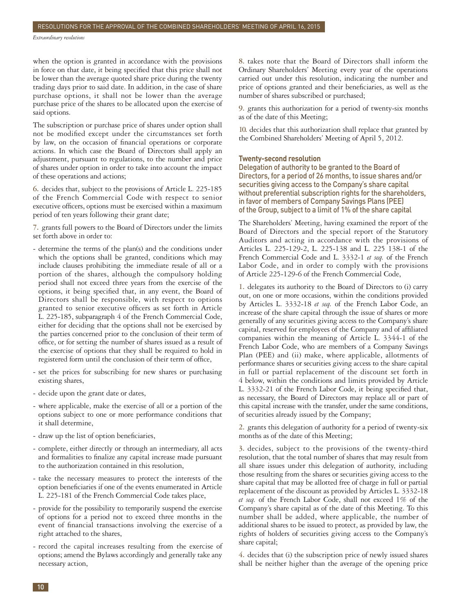*Extraordinary resolutions*

when the option is granted in accordance with the provisions in force on that date, it being specified that this price shall not be lower than the average quoted share price during the twenty trading days prior to said date. In addition, in the case of share purchase options, it shall not be lower than the average purchase price of the shares to be allocated upon the exercise of said options.

The subscription or purchase price of shares under option shall not be modified except under the circumstances set forth by law, on the occasion of financial operations or corporate actions. In which case the Board of Directors shall apply an adjustment, pursuant to regulations, to the number and price of shares under option in order to take into account the impact of these operations and actions;

**6.** decides that, subject to the provisions of Article L. 225-185 of the French Commercial Code with respect to senior executive officers, options must be exercised within a maximum period of ten years following their grant date;

**7.** grants full powers to the Board of Directors under the limits set forth above in order to:

- determine the terms of the plan(s) and the conditions under which the options shall be granted, conditions which may include clauses prohibiting the immediate resale of all or a portion of the shares, although the compulsory holding period shall not exceed three years from the exercise of the options, it being specified that, in any event, the Board of Directors shall be responsible, with respect to options granted to senior executive officers as set forth in Article L. 225-185, subparagraph 4 of the French Commercial Code, either for deciding that the options shall not be exercised by the parties concerned prior to the conclusion of their term of office, or for setting the number of shares issued as a result of the exercise of options that they shall be required to hold in registered form until the conclusion of their term of office,
- set the prices for subscribing for new shares or purchasing existing shares,
- decide upon the grant date or dates,
- where applicable, make the exercise of all or a portion of the options subject to one or more performance conditions that it shall determine,
- draw up the list of option beneficiaries,
- complete, either directly or through an intermediary, all acts and formalities to finalize any capital increase made pursuant to the authorization contained in this resolution,
- take the necessary measures to protect the interests of the option beneficiaries if one of the events enumerated in Article L. 225-181 of the French Commercial Code takes place,
- provide for the possibility to temporarily suspend the exercise of options for a period not to exceed three months in the event of financial transactions involving the exercise of a right attached to the shares,
- record the capital increases resulting from the exercise of options; amend the Bylaws accordingly and generally take any necessary action,

**8.** takes note that the Board of Directors shall inform the Ordinary Shareholders' Meeting every year of the operations carried out under this resolution, indicating the number and price of options granted and their beneficiaries, as well as the number of shares subscribed or purchased;

**9.** grants this authorization for a period of twenty-six months as of the date of this Meeting;

**10.** decides that this authorization shall replace that granted by the Combined Shareholders' Meeting of April 5, 2012.

#### **Twenty-second resolution**

Delegation of authority to be granted to the Board of Directors, for a period of 26 months, to issue shares and/or securities giving access to the Company's share capital without preferential subscription rights for the shareholders, in favor of members of Company Savings Plans (PEE) of the Group, subject to a limit of 1% of the share capital

The Shareholders' Meeting, having examined the report of the Board of Directors and the special report of the Statutory Auditors and acting in accordance with the provisions of Articles L. 225-129-2, L. 225-138 and L. 225 138-1 of the French Commercial Code and L. 3332-1 *et seq.* of the French Labor Code, and in order to comply with the provisions of Article 225-129-6 of the French Commercial Code,

**1.** delegates its authority to the Board of Directors to (i) carry out, on one or more occasions, within the conditions provided by Articles L. 3332-18 *et seq.* of the French Labor Code, an increase of the share capital through the issue of shares or more generally of any securities giving access to the Company's share capital, reserved for employees of the Company and of affiliated companies within the meaning of Article L. 3344-1 of the French Labor Code, who are members of a Company Savings Plan (PEE) and (ii) make, where applicable, allotments of performance shares or securities giving access to the share capital in full or partial replacement of the discount set forth in 4 below, within the conditions and limits provided by Article L. 3332-21 of the French Labor Code, it being specified that, as necessary, the Board of Directors may replace all or part of this capital increase with the transfer, under the same conditions, of securities already issued by the Company;

**2.** grants this delegation of authority for a period of twenty-six months as of the date of this Meeting;

**3.** decides, subject to the provisions of the twenty-third resolution, that the total number of shares that may result from all share issues under this delegation of authority, including those resulting from the shares or securities giving access to the share capital that may be allotted free of charge in full or partial replacement of the discount as provided by Articles L. 3332-18 *et seq.* of the French Labor Code, shall not exceed 1% of the Company's share capital as of the date of this Meeting. To this number shall be added, where applicable, the number of additional shares to be issued to protect, as provided by law, the rights of holders of securities giving access to the Company's share capital;

**4.** decides that (i) the subscription price of newly issued shares shall be neither higher than the average of the opening price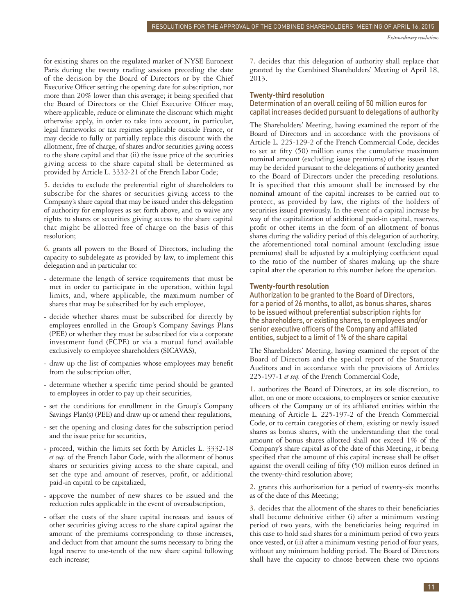for existing shares on the regulated market of NYSE Euronext Paris during the twenty trading sessions preceding the date of the decision by the Board of Directors or by the Chief Executive Officer setting the opening date for subscription, nor more than 20% lower than this average; it being specified that the Board of Directors or the Chief Executive Officer may, where applicable, reduce or eliminate the discount which might otherwise apply, in order to take into account, in particular, legal frameworks or tax regimes applicable outside France, or may decide to fully or partially replace this discount with the allotment, free of charge, of shares and/or securities giving access to the share capital and that (ii) the issue price of the securities giving access to the share capital shall be determined as provided by Article L. 3332-21 of the French Labor Code;

**5.** decides to exclude the preferential right of shareholders to subscribe for the shares or securities giving access to the Company's share capital that may be issued under this delegation of authority for employees as set forth above, and to waive any rights to shares or securities giving access to the share capital that might be allotted free of charge on the basis of this resolution;

**6.** grants all powers to the Board of Directors, including the capacity to subdelegate as provided by law, to implement this delegation and in particular to:

- determine the length of service requirements that must be met in order to participate in the operation, within legal limits, and, where applicable, the maximum number of shares that may be subscribed for by each employee,
- decide whether shares must be subscribed for directly by employees enrolled in the Group's Company Savings Plans (PEE) or whether they must be subscribed for via a corporate investment fund (FCPE) or via a mutual fund available exclusively to employee shareholders (SICAVAS),
- draw up the list of companies whose employees may benefit from the subscription offer,
- determine whether a specific time period should be granted to employees in order to pay up their securities,
- set the conditions for enrollment in the Group's Company Savings Plan(s) (PEE) and draw up or amend their regulations,
- set the opening and closing dates for the subscription period and the issue price for securities,
- proceed, within the limits set forth by Articles L. 3332-18 *et seq.* of the French Labor Code, with the allotment of bonus shares or securities giving access to the share capital, and set the type and amount of reserves, profit, or additional paid-in capital to be capitalized,
- approve the number of new shares to be issued and the reduction rules applicable in the event of oversubscription,
- offset the costs of the share capital increases and issues of other securities giving access to the share capital against the amount of the premiums corresponding to those increases, and deduct from that amount the sums necessary to bring the legal reserve to one-tenth of the new share capital following each increase;

**7.** decides that this delegation of authority shall replace that granted by the Combined Shareholders' Meeting of April 18, 2013.

#### **Twenty-third resolution**

#### Determination of an overall ceiling of 50 million euros for capital increases decided pursuant to delegations of authority

The Shareholders' Meeting, having examined the report of the Board of Directors and in accordance with the provisions of Article L. 225-129-2 of the French Commercial Code, decides to set at fifty (50) million euros the cumulative maximum nominal amount (excluding issue premiums) of the issues that may be decided pursuant to the delegations of authority granted to the Board of Directors under the preceding resolutions. It is specified that this amount shall be increased by the nominal amount of the capital increases to be carried out to protect, as provided by law, the rights of the holders of securities issued previously. In the event of a capital increase by way of the capitalization of additional paid-in capital, reserves, profit or other items in the form of an allotment of bonus shares during the validity period of this delegation of authority, the aforementioned total nominal amount (excluding issue premiums) shall be adjusted by a multiplying coefficient equal to the ratio of the number of shares making up the share capital after the operation to this number before the operation.

#### **Twenty-fourth resolution**

Authorization to be granted to the Board of Directors, for a period of 26 months, to allot, as bonus shares, shares to be issued without preferential subscription rights for the shareholders, or existing shares, to employees and / or senior executive officers of the Company and affiliated entities, subject to a limit of 1% of the share capital

The Shareholders' Meeting, having examined the report of the Board of Directors and the special report of the Statutory Auditors and in accordance with the provisions of Articles 225-197-1 *et seq.* of the French Commercial Code,

**1.** authorizes the Board of Directors, at its sole discretion, to allot, on one or more occasions, to employees or senior executive officers of the Company or of its affiliated entities within the meaning of Article L. 225-197-2 of the French Commercial Code, or to certain categories of them, existing or newly issued shares as bonus shares, with the understanding that the total amount of bonus shares allotted shall not exceed 1% of the Company's share capital as of the date of this Meeting, it being specified that the amount of this capital increase shall be offset against the overall ceiling of fifty (50) million euros defined in the twenty-third resolution above;

**2.** grants this authorization for a period of twenty-six months as of the date of this Meeting;

**3.** decides that the allotment of the shares to their beneficiaries shall become definitive either (i) after a minimum vesting period of two years, with the beneficiaries being required in this case to hold said shares for a minimum period of two years once vested, or (ii) after a minimum vesting period of four years, without any minimum holding period. The Board of Directors shall have the capacity to choose between these two options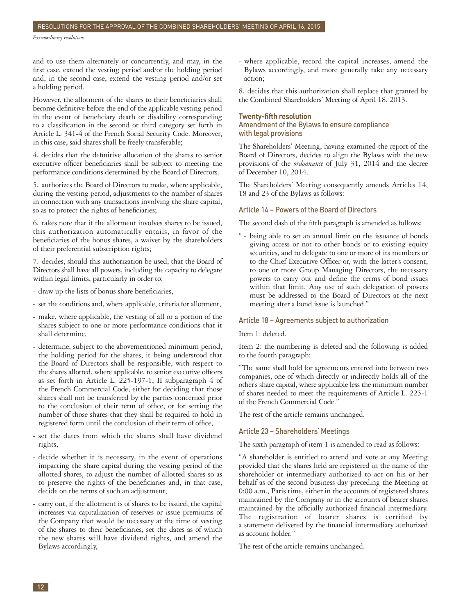and to use them alternately or concurrently, and may, in the first case, extend the vesting period and/or the holding period and, in the second case, extend the vesting period and/or set a holding period.

However, the allotment of the shares to their beneficiaries shall become definitive before the end of the applicable vesting period in the event of beneficiary death or disability corresponding to a classification in the second or third category set forth in Article L. 341-4 of the French Social Security Code. Moreover, in this case, said shares shall be freely transferable;

**4.** decides that the definitive allocation of the shares to senior executive officer beneficiaries shall be subject to meeting the performance conditions determined by the Board of Directors.

**5.** authorizes the Board of Directors to make, where applicable, during the vesting period, adjustments to the number of shares in connection with any transactions involving the share capital, so as to protect the rights of beneficiaries;

**6.** takes note that if the allotment involves shares to be issued, this authorization automatically entails, in favor of the beneficiaries of the bonus shares, a waiver by the shareholders of their preferential subscription rights;

**7.** decides, should this authorization be used, that the Board of Directors shall have all powers, including the capacity to delegate within legal limits, particularly in order to:

- draw up the lists of bonus share beneficiaries,
- set the conditions and, where applicable, criteria for allotment,
- make, where applicable, the vesting of all or a portion of the shares subject to one or more performance conditions that it shall determine,
- determine, subject to the abovementioned minimum period, the holding period for the shares, it being understood that the Board of Directors shall be responsible, with respect to the shares allotted, where applicable, to senior executive officers as set forth in Article L. 225-197-1, II subparagraph 4 of the French Commercial Code, either for deciding that those shares shall not be transferred by the parties concerned prior to the conclusion of their term of office, or for setting the number of those shares that they shall be required to hold in registered form until the conclusion of their term of office,
- set the dates from which the shares shall have dividend rights,
- decide whether it is necessary, in the event of operations impacting the share capital during the vesting period of the allotted shares, to adjust the number of allotted shares so as to preserve the rights of the beneficiaries and, in that case, decide on the terms of such an adjustment,
- carry out, if the allotment is of shares to be issued, the capital increases via capitalization of reserves or issue premiums of the Company that would be necessary at the time of vesting of the shares to their beneficiaries, set the dates as of which the new shares will have dividend rights, and amend the Bylaws accordingly,

- where applicable, record the capital increases, amend the Bylaws accordingly, and more generally take any necessary action;

**8.** decides that this authorization shall replace that granted by the Combined Shareholders' Meeting of April 18, 2013.

#### **Twenty-fifth resolution**

Amendment of the Bylaws to ensure compliance with legal provisions

The Shareholders' Meeting, having examined the report of the Board of Directors, decides to align the Bylaws with the new provisions of the *ordonnance* of July 31, 2014 and the decree of December 10, 2014.

The Shareholders' Meeting consequently amends Articles 14, 18 and 23 of the Bylaws as follows:

#### Article 14 – Powers of the Board of Directors

The second dash of the fifth paragraph is amended as follows:

" - being able to set an annual limit on the issuance of bonds giving access or not to other bonds or to existing equity securities, and to delegate to one or more of its members or to the Chief Executive Officer or, with the latter's consent, to one or more Group Managing Directors, the necessary powers to carry out and define the terms of bond issues within that limit. Any use of such delegation of powers must be addressed to the Board of Directors at the next meeting after a bond issue is launched."

#### Article 18 – Agreements subject to authorization

Item 1: deleted.

Item 2: the numbering is deleted and the following is added to the fourth paragraph:

"The same shall hold for agreements entered into between two companies, one of which directly or indirectly holds all of the other's share capital, where applicable less the minimum number of shares needed to meet the requirements of Article L. 225-1 of the French Commercial Code."

The rest of the article remains unchanged.

#### Article 23 – Shareholders' Meetings

The sixth paragraph of item 1 is amended to read as follows:

"A shareholder is entitled to attend and vote at any Meeting provided that the shares held are registered in the name of the shareholder or intermediary authorized to act on his or her behalf as of the second business day preceding the Meeting at 0:00 a.m., Paris time, either in the accounts of registered shares maintained by the Company or in the accounts of bearer shares maintained by the officially authorized financial intermediary. The registration of bearer shares is certified by a statement delivered by the financial intermediary authorized as account holder."

The rest of the article remains unchanged.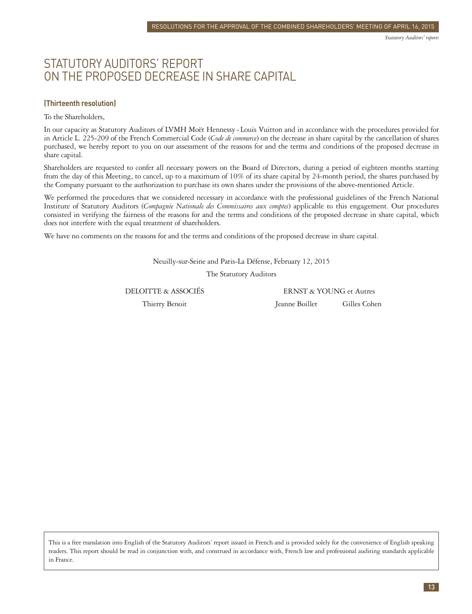### <span id="page-14-0"></span>STATUTORY AUDITORS' REPORT ON THE PROPOSED DECREASE IN SHARE CAPITAL

#### **(Thirteenth resolution)**

To the Shareholders,

In our capacity as Statutory Auditors of LVMH Moët Hennessy - Louis Vuitton and in accordance with the procedures provided for in Article L. 225-209 of the French Commercial Code (*Code de commerce*) on the decrease in share capital by the cancellation of shares purchased, we hereby report to you on our assessment of the reasons for and the terms and conditions of the proposed decrease in share capital.

Shareholders are requested to confer all necessary powers on the Board of Directors, during a period of eighteen months starting from the day of this Meeting, to cancel, up to a maximum of 10% of its share capital by 24-month period, the shares purchased by the Company pursuant to the authorization to purchase its own shares under the provisions of the above-mentioned Article.

We performed the procedures that we considered necessary in accordance with the professional guidelines of the French National Institute of Statutory Auditors (*Compagnie Nationale des Commissaires aux comptes*) applicable to this engagement. Our procedures consisted in verifying the fairness of the reasons for and the terms and conditions of the proposed decrease in share capital, which does not interfere with the equal treatment of shareholders.

We have no comments on the reasons for and the terms and conditions of the proposed decrease in share capital.

Neuilly-sur-Seine and Paris-La Défense, February 12, 2015

The Statutory Auditors

DELOITTE & ASSOCIÉS ERNST & YOUNG et Autres

Thierry Benoit **Gilles Cohen** Jeanne Boillet **Gilles Cohen**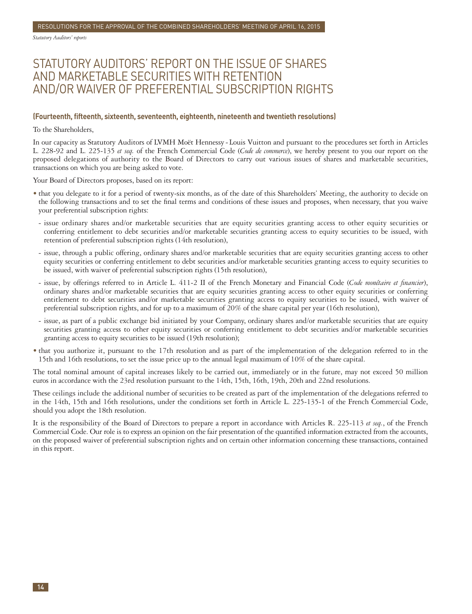*Statutory Auditors' reports*

### STATUTORY AUDITORS' REPORT ON THE ISSUE OF SHARES AND MARKETABLE SECURITIES WITH RETENTION AND/OR WAIVER OF PREFERENTIAL SUBSCRIPTION RIGHTS

#### **(Fourteenth, fifteenth, sixteenth, seventeenth, eighteenth, nineteenth and twentieth resolutions)**

To the Shareholders,

In our capacity as Statutory Auditors of LVMH Moët Hennessy - Louis Vuitton and pursuant to the procedures set forth in Articles L. 228-92 and L. 225-135 *et seq.* of the French Commercial Code (*Code de commerce*), we hereby present to you our report on the proposed delegations of authority to the Board of Directors to carry out various issues of shares and marketable securities, transactions on which you are being asked to vote.

Your Board of Directors proposes, based on its report:

- that you delegate to it for a period of twenty-six months, as of the date of this Shareholders' Meeting, the authority to decide on the following transactions and to set the final terms and conditions of these issues and proposes, when necessary, that you waive your preferential subscription rights:
- issue ordinary shares and/or marketable securities that are equity securities granting access to other equity securities or conferring entitlement to debt securities and/or marketable securities granting access to equity securities to be issued, with retention of preferential subscription rights (14th resolution),
- issue, through a public offering, ordinary shares and/or marketable securities that are equity securities granting access to other equity securities or conferring entitlement to debt securities and/or marketable securities granting access to equity securities to be issued, with waiver of preferential subscription rights (15th resolution),
- issue, by offerings referred to in Article L. 411-2 II of the French Monetary and Financial Code (*Code monétaire et financier*), ordinary shares and/or marketable securities that are equity securities granting access to other equity securities or conferring entitlement to debt securities and/or marketable securities granting access to equity securities to be issued, with waiver of preferential subscription rights, and for up to a maximum of 20% of the share capital per year (16th resolution),
- issue, as part of a public exchange bid initiated by your Company, ordinary shares and/or marketable securities that are equity securities granting access to other equity securities or conferring entitlement to debt securities and/or marketable securities granting access to equity securities to be issued (19th resolution);
- that you authorize it, pursuant to the 17th resolution and as part of the implementation of the delegation referred to in the 15th and 16th resolutions, to set the issue price up to the annual legal maximum of 10% of the share capital.

The total nominal amount of capital increases likely to be carried out, immediately or in the future, may not exceed 50 million euros in accordance with the 23rd resolution pursuant to the 14th, 15th, 16th, 19th, 20th and 22nd resolutions.

These ceilings include the additional number of securities to be created as part of the implementation of the delegations referred to in the 14th, 15th and 16th resolutions, under the conditions set forth in Article L. 225-135-1 of the French Commercial Code, should you adopt the 18th resolution.

It is the responsibility of the Board of Directors to prepare a report in accordance with Articles R. 225-113 *et seq.*, of the French Commercial Code. Our role is to express an opinion on the fair presentation of the quantified information extracted from the accounts, on the proposed waiver of preferential subscription rights and on certain other information concerning these transactions, contained in this report.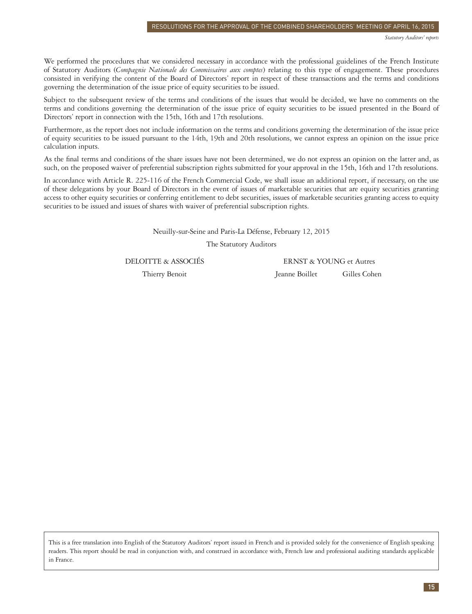We performed the procedures that we considered necessary in accordance with the professional guidelines of the French Institute of Statutory Auditors (*Compagnie Nationale des Commissaires aux comptes*) relating to this type of engagement. These procedures consisted in verifying the content of the Board of Directors' report in respect of these transactions and the terms and conditions governing the determination of the issue price of equity securities to be issued.

Subject to the subsequent review of the terms and conditions of the issues that would be decided, we have no comments on the terms and conditions governing the determination of the issue price of equity securities to be issued presented in the Board of Directors' report in connection with the 15th, 16th and 17th resolutions.

Furthermore, as the report does not include information on the terms and conditions governing the determination of the issue price of equity securities to be issued pursuant to the 14th, 19th and 20th resolutions, we cannot express an opinion on the issue price calculation inputs.

As the final terms and conditions of the share issues have not been determined, we do not express an opinion on the latter and, as such, on the proposed waiver of preferential subscription rights submitted for your approval in the 15th, 16th and 17th resolutions.

In accordance with Article R. 225-116 of the French Commercial Code, we shall issue an additional report, if necessary, on the use of these delegations by your Board of Directors in the event of issues of marketable securities that are equity securities granting access to other equity securities or conferring entitlement to debt securities, issues of marketable securities granting access to equity securities to be issued and issues of shares with waiver of preferential subscription rights.

Neuilly-sur-Seine and Paris-La Défense, February 12, 2015

The Statutory Auditors

DELOITTE & ASSOCIÉS ERNST & YOUNG et Autres Thierry Benoit **Jeanne Boillet** Gilles Cohen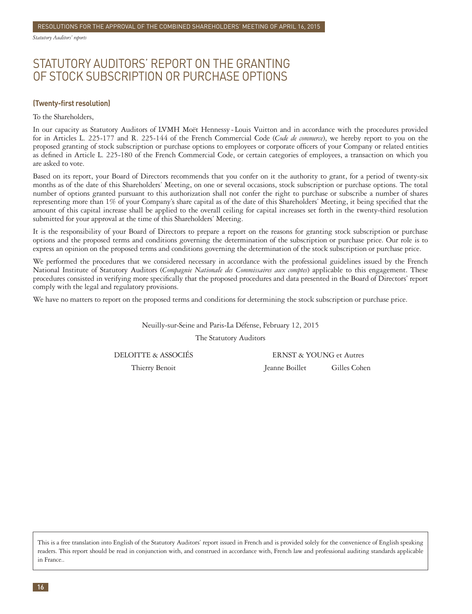*Statutory Auditors' reports*

### STATUTORY AUDITORS' REPORT ON THE GRANTING OF STOCK SUBSCRIPTION OR PURCHASE OPTIONS

#### **(Twenty-first resolution)**

To the Shareholders,

In our capacity as Statutory Auditors of LVMH Moët Hennessy - Louis Vuitton and in accordance with the procedures provided for in Articles L. 225-177 and R. 225-144 of the French Commercial Code (*Code de commerce*), we hereby report to you on the proposed granting of stock subscription or purchase options to employees or corporate officers of your Company or related entities as defined in Article L. 225-180 of the French Commercial Code, or certain categories of employees, a transaction on which you are asked to vote.

Based on its report, your Board of Directors recommends that you confer on it the authority to grant, for a period of twenty-six months as of the date of this Shareholders' Meeting, on one or several occasions, stock subscription or purchase options. The total number of options granted pursuant to this authorization shall not confer the right to purchase or subscribe a number of shares representing more than 1% of your Company's share capital as of the date of this Shareholders' Meeting, it being specified that the amount of this capital increase shall be applied to the overall ceiling for capital increases set forth in the twenty-third resolution submitted for your approval at the time of this Shareholders' Meeting.

It is the responsibility of your Board of Directors to prepare a report on the reasons for granting stock subscription or purchase options and the proposed terms and conditions governing the determination of the subscription or purchase price. Our role is to express an opinion on the proposed terms and conditions governing the determination of the stock subscription or purchase price.

We performed the procedures that we considered necessary in accordance with the professional guidelines issued by the French National Institute of Statutory Auditors (*Compagnie Nationale des Commissaires aux comptes*) applicable to this engagement. These procedures consisted in verifying more specifically that the proposed procedures and data presented in the Board of Directors' report comply with the legal and regulatory provisions.

We have no matters to report on the proposed terms and conditions for determining the stock subscription or purchase price.

Neuilly-sur-Seine and Paris-La Défense, February 12, 2015

The Statutory Auditors

DELOITTE & ASSOCIÉS ERNST & YOUNG et Autres

Thierry Benoit **Jeanne Boillet** Gilles Cohen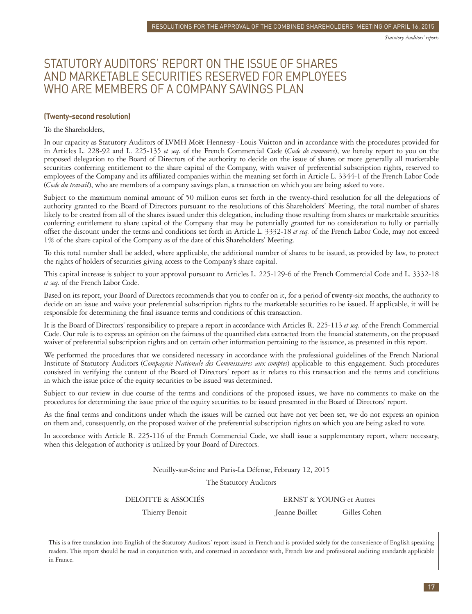### STATUTORY AUDITORS' REPORT ON THE ISSUE OF SHARES AND MARKETABLE SECURITIES RESERVED FOR EMPLOYEES WHO ARE MEMBERS OF A COMPANY SAVINGS PLAN

#### **(Twenty-second resolution)**

#### To the Shareholders,

In our capacity as Statutory Auditors of LVMH Moët Hennessy - Louis Vuitton and in accordance with the procedures provided for in Articles L. 228-92 and L. 225-135 *et seq.* of the French Commercial Code (*Code de commerce*), we hereby report to you on the proposed delegation to the Board of Directors of the authority to decide on the issue of shares or more generally all marketable securities conferring entitlement to the share capital of the Company, with waiver of preferential subscription rights, reserved to employees of the Company and its affiliated companies within the meaning set forth in Article L. 3344-1 of the French Labor Code (*Code du travail*), who are members of a company savings plan, a transaction on which you are being asked to vote.

Subject to the maximum nominal amount of 50 million euros set forth in the twenty-third resolution for all the delegations of authority granted to the Board of Directors pursuant to the resolutions of this Shareholders' Meeting, the total number of shares likely to be created from all of the shares issued under this delegation, including those resulting from shares or marketable securities conferring entitlement to share capital of the Company that may be potentially granted for no consideration to fully or partially offset the discount under the terms and conditions set forth in Article L. 3332-18 *et seq.* of the French Labor Code, may not exceed 1% of the share capital of the Company as of the date of this Shareholders' Meeting.

To this total number shall be added, where applicable, the additional number of shares to be issued, as provided by law, to protect the rights of holders of securities giving access to the Company's share capital.

This capital increase is subject to your approval pursuant to Articles L. 225-129-6 of the French Commercial Code and L. 3332-18 *et seq.* of the French Labor Code.

Based on its report, your Board of Directors recommends that you to confer on it, for a period of twenty-six months, the authority to decide on an issue and waive your preferential subscription rights to the marketable securities to be issued. If applicable, it will be responsible for determining the final issuance terms and conditions of this transaction.

It is the Board of Directors' responsibility to prepare a report in accordance with Articles R. 225-113 *et seq.* of the French Commercial Code. Our role is to express an opinion on the fairness of the quantified data extracted from the financial statements, on the proposed waiver of preferential subscription rights and on certain other information pertaining to the issuance, as presented in this report.

We performed the procedures that we considered necessary in accordance with the professional guidelines of the French National Institute of Statutory Auditors (*Compagnie Nationale des Commissaires aux comptes*) applicable to this engagement. Such procedures consisted in verifying the content of the Board of Directors' report as it relates to this transaction and the terms and conditions in which the issue price of the equity securities to be issued was determined.

Subject to our review in due course of the terms and conditions of the proposed issues, we have no comments to make on the procedures for determining the issue price of the equity securities to be issued presented in the Board of Directors' report.

As the final terms and conditions under which the issues will be carried out have not yet been set, we do not express an opinion on them and, consequently, on the proposed waiver of the preferential subscription rights on which you are being asked to vote.

In accordance with Article R. 225-116 of the French Commercial Code, we shall issue a supplementary report, where necessary, when this delegation of authority is utilized by your Board of Directors.

Neuilly-sur-Seine and Paris-La Défense, February 12, 2015

The Statutory Auditors

DELOITTE & ASSOCIÉS ERNST & YOUNG et Autres Thierry Benoit **Gilles Cohen** Jeanne Boillet **Gilles Cohen**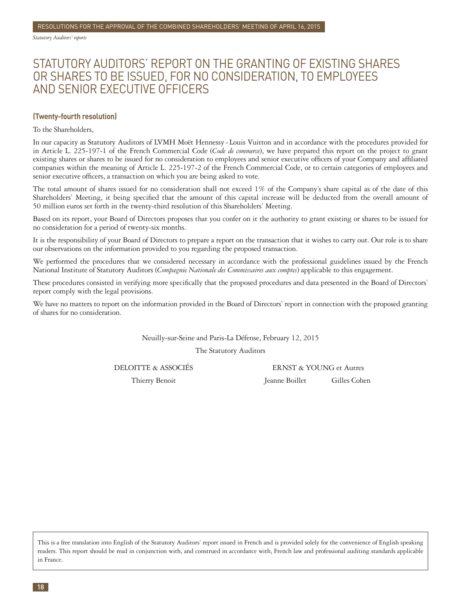*Statutory Auditors' reports*

### STATUTORY AUDITORS' REPORT ON THE GRANTING OF EXISTING SHARES OR SHARES TO BE ISSUED, FOR NO CONSIDERATION, TO EMPLOYEES AND SENIOR EXECUTIVE OFFICERS

#### **(Twenty-fourth resolution)**

#### To the Shareholders,

In our capacity as Statutory Auditors of LVMH Moët Hennessy - Louis Vuitton and in accordance with the procedures provided for in Article L. 225-197-1 of the French Commercial Code (*Code de commerce*), we have prepared this report on the project to grant existing shares or shares to be issued for no consideration to employees and senior executive officers of your Company and affiliated companies within the meaning of Article L. 225-197-2 of the French Commercial Code, or to certain categories of employees and senior executive officers, a transaction on which you are being asked to vote.

The total amount of shares issued for no consideration shall not exceed 1% of the Company's share capital as of the date of this Shareholders' Meeting, it being specified that the amount of this capital increase will be deducted from the overall amount of 50 million euros set forth in the twenty-third resolution of this Shareholders' Meeting.

Based on its report, your Board of Directors proposes that you confer on it the authority to grant existing or shares to be issued for no consideration for a period of twenty-six months.

It is the responsibility of your Board of Directors to prepare a report on the transaction that it wishes to carry out. Our role is to share our observations on the information provided to you regarding the proposed transaction.

We performed the procedures that we considered necessary in accordance with the professional guidelines issued by the French National Institute of Statutory Auditors (*Compagnie Nationale des Commissaires aux comptes*) applicable to this engagement.

These procedures consisted in verifying more specifically that the proposed procedures and data presented in the Board of Directors' report comply with the legal provisions.

We have no matters to report on the information provided in the Board of Directors' report in connection with the proposed granting of shares for no consideration.

Neuilly-sur-Seine and Paris-La Défense, February 12, 2015

The Statutory Auditors

DELOITTE & ASSOCIÉS ERNST & YOUNG et Autres

Thierry Benoit **Jeanne Boillet** Gilles Cohen